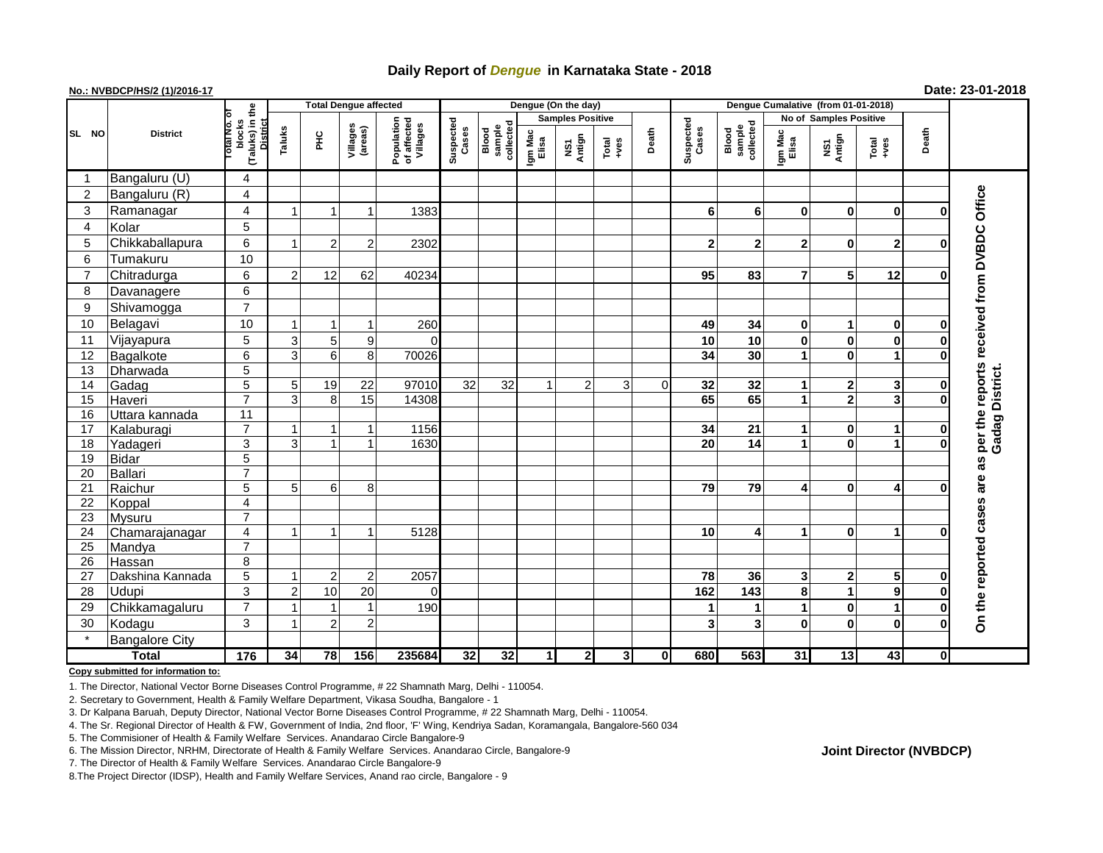## **Daily Report of** *Dengue* **in Karnataka State - 2018**

## **No.: NVBDCP/HS/2 (1)/2016-17 Date: 23-01-2018**

|                |                       |                                                          | <b>Total Dengue affected</b> |                |                         |                                       |                    |                              |                         | Dengue (On the day) |                                                              |             |                    |                                                                                    |                               |                |                         |              |                            |
|----------------|-----------------------|----------------------------------------------------------|------------------------------|----------------|-------------------------|---------------------------------------|--------------------|------------------------------|-------------------------|---------------------|--------------------------------------------------------------|-------------|--------------------|------------------------------------------------------------------------------------|-------------------------------|----------------|-------------------------|--------------|----------------------------|
| SL NO          |                       |                                                          |                              |                |                         |                                       | Suspected<br>Cases |                              | <b>Samples Positive</b> |                     |                                                              |             |                    |                                                                                    | <b>No of Samples Positive</b> |                |                         | Death        |                            |
|                | <b>District</b>       | (Taluks) in the<br>blocks<br><b>District</b><br>otal No. | Taluks                       | $rac{C}{\pi}$  | Villages<br>(areas)     | Population<br>of affected<br>Villages |                    | sample<br>collected<br>Blood | Igm Mac<br>Elisa        | Antign<br>δī        | $\begin{array}{c}\n\text{Total} \\ \text{14.4}\n\end{array}$ | Death       | Suspected<br>Cases | Blood<br>sample<br>collected<br>Igm Mac<br>Elisa<br>NS1<br>Antign<br>Total<br>+ves |                               |                |                         |              |                            |
|                | Bangaluru (U)         | 4                                                        |                              |                |                         |                                       |                    |                              |                         |                     |                                                              |             |                    |                                                                                    |                               |                |                         |              |                            |
| 2              | Bangaluru (R)         | $\overline{\mathbf{4}}$                                  |                              |                |                         |                                       |                    |                              |                         |                     |                                                              |             |                    |                                                                                    |                               |                |                         |              |                            |
| 3              | Ramanagar             | $\overline{\mathbf{4}}$                                  |                              |                | $\overline{\mathbf{1}}$ | 1383                                  |                    |                              |                         |                     |                                                              |             | 6                  | 6                                                                                  | 0                             | 0              | $\bf{0}$                | 0            | received from DVBDC Office |
| $\overline{4}$ | Kolar                 | 5                                                        |                              |                |                         |                                       |                    |                              |                         |                     |                                                              |             |                    |                                                                                    |                               |                |                         |              |                            |
| 5              | Chikkaballapura       | 6                                                        |                              | 2              | 2                       | 2302                                  |                    |                              |                         |                     |                                                              |             | $\mathbf{2}$       | $\mathbf{2}$                                                                       | $\mathbf{2}$                  | $\bf{0}$       | $\mathbf{2}$            | O            |                            |
| 6              | Tumakuru              | 10                                                       |                              |                |                         |                                       |                    |                              |                         |                     |                                                              |             |                    |                                                                                    |                               |                |                         |              |                            |
| $\overline{7}$ | Chitradurga           | 6                                                        | 2                            | 12             | 62                      | 40234                                 |                    |                              |                         |                     |                                                              |             | 95                 | 83                                                                                 | $\overline{7}$                | 5              | 12                      | O            |                            |
| 8              | Davanagere            | 6                                                        |                              |                |                         |                                       |                    |                              |                         |                     |                                                              |             |                    |                                                                                    |                               |                |                         |              |                            |
| 9              | Shivamogga            | $\overline{7}$                                           |                              |                |                         |                                       |                    |                              |                         |                     |                                                              |             |                    |                                                                                    |                               |                |                         |              |                            |
| 10             | Belagavi              | 10                                                       |                              |                | -1                      | 260                                   |                    |                              |                         |                     |                                                              |             | 49                 | 34                                                                                 | $\mathbf 0$                   | 1              | 0                       | 0            |                            |
| 11             | Vijayapura            | 5                                                        | 3                            | 5              | 9                       | C                                     |                    |                              |                         |                     |                                                              |             | 10                 | 10                                                                                 | $\mathbf{0}$                  | 0              | $\bf{0}$                | $\bf{0}$     |                            |
| 12             | Bagalkote             | $\overline{6}$                                           | 3                            | 6              | 8                       | 70026                                 |                    |                              |                         |                     |                                                              |             | 34                 | 30                                                                                 |                               | $\bf{0}$       | $\mathbf{1}$            | $\bf{0}$     |                            |
| 13             | Dharwada              | $\overline{5}$                                           |                              |                |                         |                                       |                    |                              |                         |                     |                                                              |             |                    |                                                                                    |                               |                |                         |              |                            |
| 14             | Gadag                 | $\overline{5}$                                           | 5                            | 19             | 22                      | 97010                                 | 32                 | $\overline{32}$              | $\mathbf{1}$            | $\overline{2}$      | 3                                                            | $\Omega$    | $\overline{32}$    | 32                                                                                 | 1                             | 2              | 3                       | $\mathbf 0$  |                            |
| 15             | Haveri                | $\overline{7}$                                           | 3                            | 8              | 15                      | 14308                                 |                    |                              |                         |                     |                                                              |             | 65                 | 65                                                                                 | $\mathbf{1}$                  | $\overline{2}$ | $\overline{\mathbf{3}}$ | $\mathbf 0$  | reports<br>Gadag District. |
| 16             | Uttara kannada        | $\overline{11}$                                          |                              |                |                         |                                       |                    |                              |                         |                     |                                                              |             |                    |                                                                                    |                               |                |                         |              |                            |
| 17             | Kalaburagi            | $\overline{7}$                                           |                              | 1              | -1                      | 1156                                  |                    |                              |                         |                     |                                                              |             | 34                 | 21                                                                                 | 1                             | $\bf{0}$       | 1                       | $\bf{0}$     |                            |
| 18             | Yadageri              | 3                                                        | 3                            | $\overline{ }$ | $\overline{1}$          | 1630                                  |                    |                              |                         |                     |                                                              |             | 20                 | 14                                                                                 | $\blacktriangleleft$          | $\bf{0}$       | 1                       | $\bf{0}$     | per the                    |
| 19             | <b>Bidar</b>          | $\overline{5}$                                           |                              |                |                         |                                       |                    |                              |                         |                     |                                                              |             |                    |                                                                                    |                               |                |                         |              | as                         |
| 20             | Ballari               | $\overline{7}$                                           |                              |                |                         |                                       |                    |                              |                         |                     |                                                              |             |                    |                                                                                    |                               |                |                         |              | Φ                          |
| 21             | Raichur               | 5                                                        | 5                            | 6              | 8                       |                                       |                    |                              |                         |                     |                                                              |             | 79                 | 79                                                                                 | 4                             | 0              | 4                       | $\Omega$     | ౚ                          |
| 22             | Koppal                | 4                                                        |                              |                |                         |                                       |                    |                              |                         |                     |                                                              |             |                    |                                                                                    |                               |                |                         |              | cases                      |
| 23             | <b>Mysuru</b>         | $\overline{7}$                                           |                              |                |                         |                                       |                    |                              |                         |                     |                                                              |             |                    |                                                                                    |                               |                |                         |              |                            |
| 24             | Chamarajanagar        | $\overline{4}$                                           |                              | 1              | $\mathbf 1$             | 5128                                  |                    |                              |                         |                     |                                                              |             | 10                 | 4                                                                                  | 1                             | $\bf{0}$       | $\mathbf 1$             | O            |                            |
| 25             | Mandya                | $\overline{7}$                                           |                              |                |                         |                                       |                    |                              |                         |                     |                                                              |             |                    |                                                                                    |                               |                |                         |              |                            |
| 26             | Hassan                | 8                                                        |                              |                |                         |                                       |                    |                              |                         |                     |                                                              |             |                    |                                                                                    |                               |                |                         |              |                            |
| 27             | Dakshina Kannada      | $\overline{5}$                                           |                              | $\overline{2}$ | $\overline{2}$          | 2057                                  |                    |                              |                         |                     |                                                              |             | 78                 | 36                                                                                 | 3                             | 2              | 5                       | 0            |                            |
| 28             | <b>Udupi</b>          | 3                                                        | っ                            | 10             | 20                      | $\Omega$                              |                    |                              |                         |                     |                                                              |             | 162                | 143                                                                                | 8                             | 1              | $\boldsymbol{9}$        | $\bf{0}$     |                            |
| 29             | Chikkamagaluru        | $\overline{7}$                                           |                              |                | $\overline{1}$          | 190                                   |                    |                              |                         |                     |                                                              |             | 1                  | 1                                                                                  | 1                             | 0              | $\mathbf 1$             | $\bf{0}$     | On the reported            |
| 30             | Kodagu                | 3                                                        |                              | $\overline{2}$ | $\overline{2}$          |                                       |                    |                              |                         |                     |                                                              |             | 3                  | 3                                                                                  | $\bf{0}$                      | $\mathbf 0$    | $\bf{0}$                | $\bf{0}$     |                            |
|                | <b>Bangalore City</b> |                                                          |                              |                |                         |                                       |                    |                              |                         |                     |                                                              |             |                    |                                                                                    |                               |                |                         |              |                            |
| <b>Total</b>   |                       | 176                                                      | 34                           | 78             | 156                     | 235684                                | 32                 | 32                           | $\mathbf{1}$            | $\mathbf 2$         | 3                                                            | $\mathbf 0$ | 680                | 563                                                                                | 31                            | 13             | 43                      | $\mathbf{0}$ |                            |

**Copy submitted for information to:**

1. The Director, National Vector Borne Diseases Control Programme, # 22 Shamnath Marg, Delhi - 110054.

2. Secretary to Government, Health & Family Welfare Department, Vikasa Soudha, Bangalore - 1

3. Dr Kalpana Baruah, Deputy Director, National Vector Borne Diseases Control Programme, # 22 Shamnath Marg, Delhi - 110054.

4. The Sr. Regional Director of Health & FW, Government of India, 2nd floor, 'F' Wing, Kendriya Sadan, Koramangala, Bangalore-560 034

5. The Commisioner of Health & Family Welfare Services. Anandarao Circle Bangalore-9

7. The Director of Health & Family Welfare Services. Anandarao Circle Bangalore-9

8.The Project Director (IDSP), Health and Family Welfare Services, Anand rao circle, Bangalore - 9

## **Joint Director (NVBDCP)**

<sup>6.</sup> The Mission Director, NRHM, Directorate of Health & Family Welfare Services. Anandarao Circle, Bangalore-9